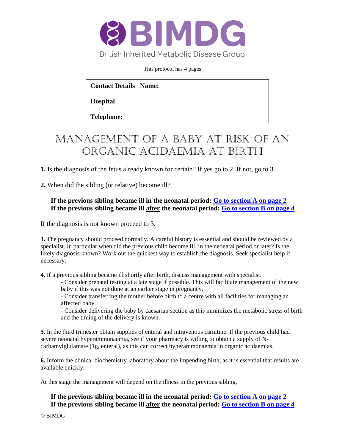

This protocol has 4 pages

**Contact Details Name:** 

**Hospital** 

**Telephone:**

# Management of a baby at risk of aN ORGANIC ACIDAEMIA at birth

**1.** Is the diagnosis of the fetus already known for certain? If yes go to 2. If not, go to 3.

**2.** When did the sibling (or relative) become ill?

### **If the previous sibling became ill in the neonatal period: [Go to section A on page 2](#page-1-0) If the previous sibling became ill after the neonatal period: [Go to section B on page 4](#page-3-0)**

If the diagnosis is not known proceed to 3.

**3.** The pregnancy should proceed normally. A careful history is essential and should be reviewed by a specialist. In particular when did the previous child become ill, in the neonatal period or later? Is the likely diagnosis known? Work out the quickest way to establish the diagnosis. Seek specialist help if necessary.

**4.** If a previous sibling became ill shortly after birth, discuss management with specialist.

- Consider prenatal testing at a late stage if possible. This will facilitate management of the new baby if this was not done at an earlier stage in pregnancy.

- Consider transferring the mother before birth to a centre with all facilities for managing an affected baby.

- Consider delivering the baby by caesarian section as this minimizes the metabolic stress of birth and the timing of the delivery is known.

**5.** In the third trimester obtain supplies of enteral and intravenous carnitine. If the previous child had severe neonatal hyperammonaemia, see if your pharmacy is willing to obtain a supply of Ncarbamylglutamate (1g, enteral), as this can correct hyperammonaemia in organic acidaemias.

**6.** Inform the clinical biochemistry laboratory about the impending birth, as it is essential that results are available quickly.

At this stage the management will depend on the illness in the previous sibling.

### **If the previous sibling became ill in the neonatal period: [Go to section A](#page-1-0) on page 2 If the previous sibling became ill after the neonatal period: [Go to section B](#page-3-0) on page 4**

© BIMDG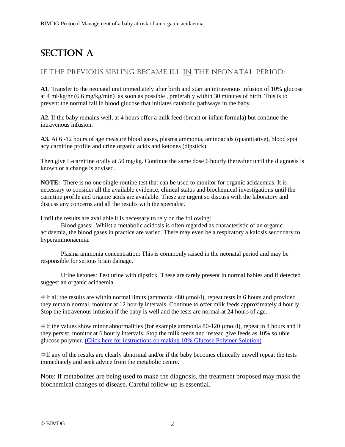## <span id="page-1-0"></span>SECTION A

## If the previous sibling became ill in the neonatal period:

**A1**. Transfer to the neonatal unit immediately after birth and start an intravenous infusion of 10% glucose at 4 ml/kg/hr (6.6 mg/kg/min) as soon as possible , preferably within 30 minutes of birth. This is to prevent the normal fall in blood glucose that initiates catabolic pathways in the baby.

**A2.** If the baby remains well, at 4 hours offer a milk feed (breast or infant formula) but continue the intravenous infusion.

**A3.** At 6 -12 hours of age measure blood gases, plasma ammonia, aminoacids (quantitative), blood spot acylcarnitine profile and urine organic acids and ketones (dipstick).

Then give L-carnitine orally at 50 mg/kg. Continue the same dose 6 hourly thereafter until the diagnosis is known or a change is advised.

**NOTE:** There is no one single routine test that can be used to monitor for organic acidaemias. It is necessary to consider all the available evidence, clinical status and biochemical investigations until the carnitine profile and organic acids are available. These are urgent so discuss with the laboratory and discuss any concerns and all the results with the specialist.

Until the results are available it is necessary to rely on the following:

Blood gases: Whilst a metabolic acidosis is often regarded as characteristic of an organic acidaemia, the blood gases in practice are varied. There may even be a respiratory alkalosis secondary to hyperammonaemia.

Plasma ammonia concentration: This is commonly raised in the neonatal period and may be responsible for serious brain damage.

Urine ketones: Test urine with dipstick. These are rarely present in normal babies and if detected suggest an organic acidaemia.

 $\Rightarrow$  If all the results are within normal limits (ammonia <80  $\mu$ mol/l), repeat tests in 6 hours and provided they remain normal, monitor at 12 hourly intervals. Continue to offer milk feeds approximately 4 hourly. Stop the intravenous infusion if the baby is well and the tests are normal at 24 hours of age.

 $\Rightarrow$  If the values show minor abnormalities (for example ammonia 80-120  $\mu$ mol/l), repeat in 4 hours and if they persist, monitor at 6 hourly intervals. Stop the milk feeds and instead give feeds as 10% soluble glucose polymer. [\(Click here for instructions on making 10% Glucose Polymer Solution\)](http://www.bimdg.org.uk/store/guidelines/MCADDRecipe_1Year_2014_421566_12052015.pdf)

 $\Rightarrow$  If any of the results are clearly abnormal and/or if the baby becomes clinically unwell repeat the tests immediately and seek advice from the metabolic centre.

Note: If metabolites are being used to make the diagnosis, the treatment proposed may mask the biochemical changes of disease. Careful follow-up is essential.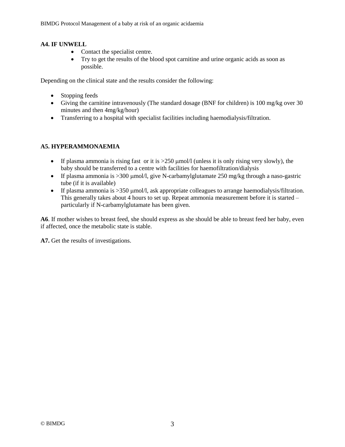#### **A4. IF UNWELL**

- Contact the specialist centre.
- Try to get the results of the blood spot carnitine and urine organic acids as soon as possible.

Depending on the clinical state and the results consider the following:

- Stopping feeds
- Giving the carnitine intravenously (The standard dosage (BNF for children) is 100 mg/kg over 30 minutes and then 4mg/kg/hour)
- Transferring to a hospital with specialist facilities including haemodialysis/filtration.

#### **A5. HYPERAMMONAEMIA**

- If plasma ammonia is rising fast or it is  $>250 \mu$  mol/l (unless it is only rising very slowly), the baby should be transferred to a centre with facilities for haemofiltration/dialysis
- If plasma ammonia is  $>300$  umol/l, give N-carbamylglutamate 250 mg/kg through a naso-gastric tube (if it is available)
- If plasma ammonia is  $>350$  µmol/l, ask appropriate colleagues to arrange haemodialysis/filtration. This generally takes about 4 hours to set up. Repeat ammonia measurement before it is started – particularly if N-carbamylglutamate has been given.

**A6**. If mother wishes to breast feed, she should express as she should be able to breast feed her baby, even if affected, once the metabolic state is stable.

**A7.** Get the results of investigations.